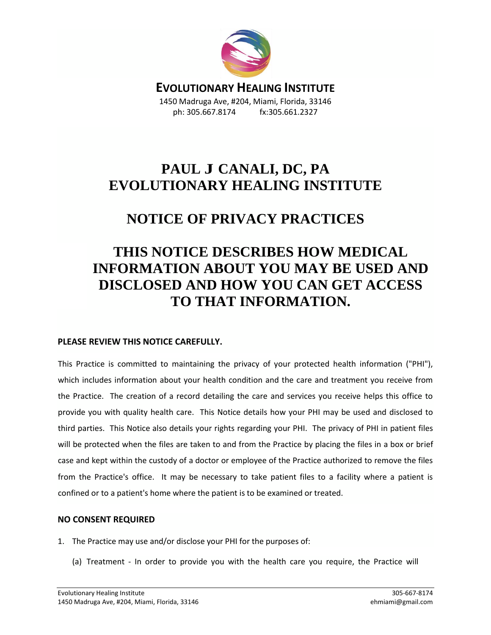

**EVOLUTIONARY HEALING INSTITUTE** 1450 Madruga Ave, #204, Miami, Florida, 33146 ph: 305.667.8174 fx:305.661.2327

## **PAUL J CANALI, DC, PA EVOLUTIONARY HEALING INSTITUTE**

### **NOTICE OF PRIVACY PRACTICES**

# **THIS NOTICE DESCRIBES HOW MEDICAL INFORMATION ABOUT YOU MAY BE USED AND DISCLOSED AND HOW YOU CAN GET ACCESS TO THAT INFORMATION.**

### **PLEASE REVIEW THIS NOTICE CAREFULLY.**

This Practice is committed to maintaining the privacy of your protected health information ("PHI"), which includes information about your health condition and the care and treatment you receive from the Practice. The creation of a record detailing the care and services you receive helps this office to provide you with quality health care. This Notice details how your PHI may be used and disclosed to third parties. This Notice also details your rights regarding your PHI. The privacy of PHI in patient files will be protected when the files are taken to and from the Practice by placing the files in a box or brief case and kept within the custody of a doctor or employee of the Practice authorized to remove the files from the Practice's office. It may be necessary to take patient files to a facility where a patient is confined or to a patient's home where the patient is to be examined or treated.

#### **NO CONSENT REQUIRED**

- 1. The Practice may use and/or disclose your PHI for the purposes of:
	- (a) Treatment In order to provide you with the health care you require, the Practice will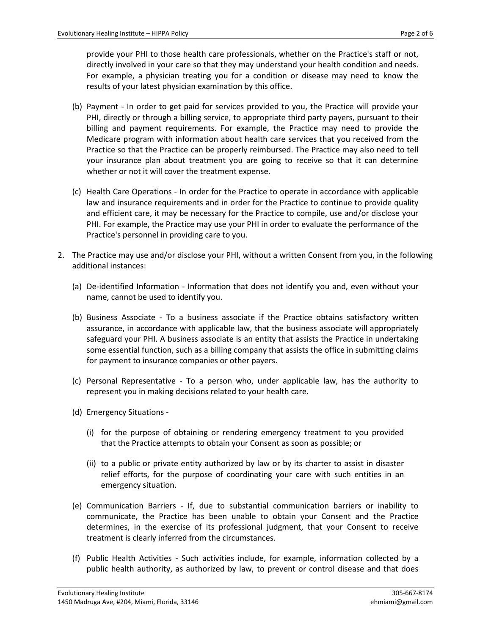provide your PHI to those health care professionals, whether on the Practice's staff or not, directly involved in your care so that they may understand your health condition and needs. For example, a physician treating you for a condition or disease may need to know the results of your latest physician examination by this office.

- (b) Payment In order to get paid for services provided to you, the Practice will provide your PHI, directly or through a billing service, to appropriate third party payers, pursuant to their billing and payment requirements. For example, the Practice may need to provide the Medicare program with information about health care services that you received from the Practice so that the Practice can be properly reimbursed. The Practice may also need to tell your insurance plan about treatment you are going to receive so that it can determine whether or not it will cover the treatment expense.
- (c) Health Care Operations In order for the Practice to operate in accordance with applicable law and insurance requirements and in order for the Practice to continue to provide quality and efficient care, it may be necessary for the Practice to compile, use and/or disclose your PHI. For example, the Practice may use your PHI in order to evaluate the performance of the Practice's personnel in providing care to you.
- 2. The Practice may use and/or disclose your PHI, without a written Consent from you, in the following additional instances:
	- (a) De-identified Information Information that does not identify you and, even without your name, cannot be used to identify you.
	- (b) Business Associate To a business associate if the Practice obtains satisfactory written assurance, in accordance with applicable law, that the business associate will appropriately safeguard your PHI. A business associate is an entity that assists the Practice in undertaking some essential function, such as a billing company that assists the office in submitting claims for payment to insurance companies or other payers.
	- (c) Personal Representative To a person who, under applicable law, has the authority to represent you in making decisions related to your health care.
	- (d) Emergency Situations
		- (i) for the purpose of obtaining or rendering emergency treatment to you provided that the Practice attempts to obtain your Consent as soon as possible; or
		- (ii) to a public or private entity authorized by law or by its charter to assist in disaster relief efforts, for the purpose of coordinating your care with such entities in an emergency situation.
	- (e) Communication Barriers If, due to substantial communication barriers or inability to communicate, the Practice has been unable to obtain your Consent and the Practice determines, in the exercise of its professional judgment, that your Consent to receive treatment is clearly inferred from the circumstances.
	- (f) Public Health Activities Such activities include, for example, information collected by a public health authority, as authorized by law, to prevent or control disease and that does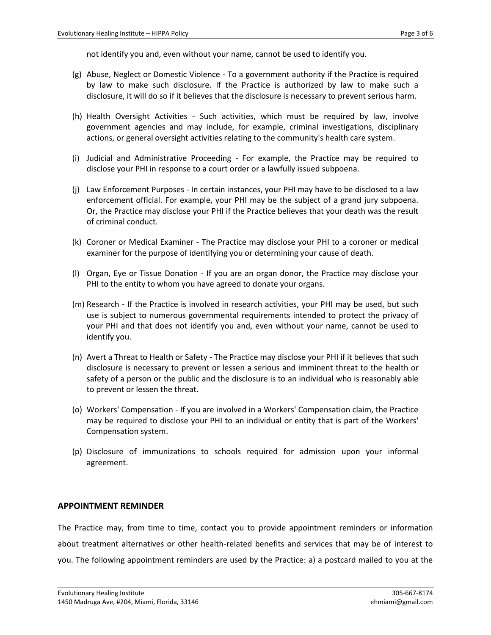not identify you and, even without your name, cannot be used to identify you.

- (g) Abuse, Neglect or Domestic Violence To a government authority if the Practice is required by law to make such disclosure. If the Practice is authorized by law to make such a disclosure, it will do so if it believes that the disclosure is necessary to prevent serious harm.
- (h) Health Oversight Activities Such activities, which must be required by law, involve government agencies and may include, for example, criminal investigations, disciplinary actions, or general oversight activities relating to the community's health care system.
- (i) Judicial and Administrative Proceeding For example, the Practice may be required to disclose your PHI in response to a court order or a lawfully issued subpoena.
- (j) Law Enforcement Purposes In certain instances, your PHI may have to be disclosed to a law enforcement official. For example, your PHI may be the subject of a grand jury subpoena. Or, the Practice may disclose your PHI if the Practice believes that your death was the result of criminal conduct.
- (k) Coroner or Medical Examiner The Practice may disclose your PHI to a coroner or medical examiner for the purpose of identifying you or determining your cause of death.
- (l) Organ, Eye or Tissue Donation If you are an organ donor, the Practice may disclose your PHI to the entity to whom you have agreed to donate your organs.
- (m) Research If the Practice is involved in research activities, your PHI may be used, but such use is subject to numerous governmental requirements intended to protect the privacy of your PHI and that does not identify you and, even without your name, cannot be used to identify you.
- (n) Avert a Threat to Health or Safety The Practice may disclose your PHI if it believes that such disclosure is necessary to prevent or lessen a serious and imminent threat to the health or safety of a person or the public and the disclosure is to an individual who is reasonably able to prevent or lessen the threat.
- (o) Workers' Compensation If you are involved in a Workers' Compensation claim, the Practice may be required to disclose your PHI to an individual or entity that is part of the Workers' Compensation system.
- (p) Disclosure of immunizations to schools required for admission upon your informal agreement.

#### **APPOINTMENT REMINDER**

The Practice may, from time to time, contact you to provide appointment reminders or information about treatment alternatives or other health-related benefits and services that may be of interest to you. The following appointment reminders are used by the Practice: a) a postcard mailed to you at the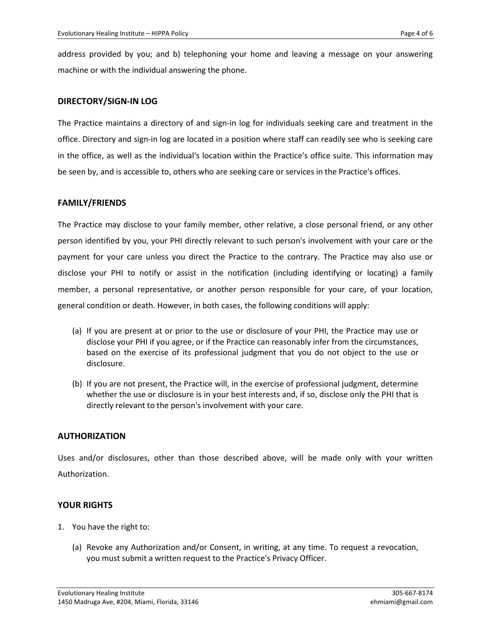address provided by you; and b) telephoning your home and leaving a message on your answering machine or with the individual answering the phone.

#### **DIRECTORY/SIGN-IN LOG**

The Practice maintains a directory of and sign-in log for individuals seeking care and treatment in the office. Directory and sign-in log are located in a position where staff can readily see who is seeking care in the office, as well as the individual's location within the Practice's office suite. This information may be seen by, and is accessible to, others who are seeking care or services in the Practice's offices.

#### **FAMILY/FRIENDS**

The Practice may disclose to your family member, other relative, a close personal friend, or any other person identified by you, your PHI directly relevant to such person's involvement with your care or the payment for your care unless you direct the Practice to the contrary. The Practice may also use or disclose your PHI to notify or assist in the notification (including identifying or locating) a family member, a personal representative, or another person responsible for your care, of your location, general condition or death. However, in both cases, the following conditions will apply:

- (a) If you are present at or prior to the use or disclosure of your PHI, the Practice may use or disclose your PHI if you agree, or if the Practice can reasonably infer from the circumstances, based on the exercise of its professional judgment that you do not object to the use or disclosure.
- (b) If you are not present, the Practice will, in the exercise of professional judgment, determine whether the use or disclosure is in your best interests and, if so, disclose only the PHI that is directly relevant to the person's involvement with your care.

#### **AUTHORIZATION**

Uses and/or disclosures, other than those described above, will be made only with your written Authorization.

#### **YOUR RIGHTS**

- 1. You have the right to:
	- (a) Revoke any Authorization and/or Consent, in writing, at any time. To request a revocation, you must submit a written request to the Practice's Privacy Officer.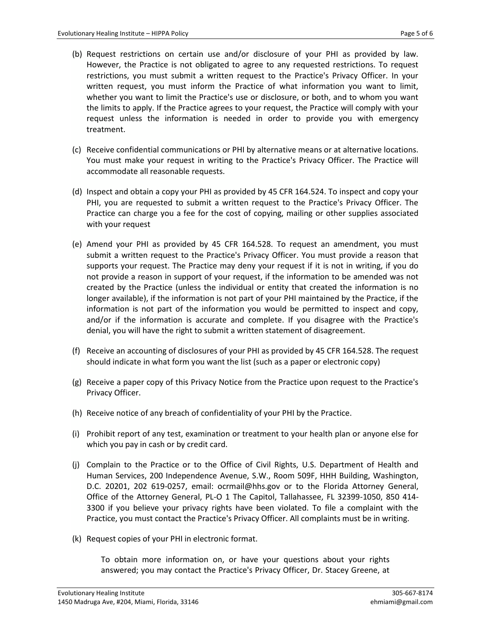- (b) Request restrictions on certain use and/or disclosure of your PHI as provided by law. However, the Practice is not obligated to agree to any requested restrictions. To request restrictions, you must submit a written request to the Practice's Privacy Officer. In your written request, you must inform the Practice of what information you want to limit, whether you want to limit the Practice's use or disclosure, or both, and to whom you want the limits to apply. If the Practice agrees to your request, the Practice will comply with your request unless the information is needed in order to provide you with emergency treatment.
- (c) Receive confidential communications or PHI by alternative means or at alternative locations. You must make your request in writing to the Practice's Privacy Officer. The Practice will accommodate all reasonable requests.
- (d) Inspect and obtain a copy your PHI as provided by 45 CFR 164.524. To inspect and copy your PHI, you are requested to submit a written request to the Practice's Privacy Officer. The Practice can charge you a fee for the cost of copying, mailing or other supplies associated with your request
- (e) Amend your PHI as provided by 45 CFR 164.528. To request an amendment, you must submit a written request to the Practice's Privacy Officer. You must provide a reason that supports your request. The Practice may deny your request if it is not in writing, if you do not provide a reason in support of your request, if the information to be amended was not created by the Practice (unless the individual or entity that created the information is no longer available), if the information is not part of your PHI maintained by the Practice, if the information is not part of the information you would be permitted to inspect and copy, and/or if the information is accurate and complete. If you disagree with the Practice's denial, you will have the right to submit a written statement of disagreement.
- (f) Receive an accounting of disclosures of your PHI as provided by 45 CFR 164.528. The request should indicate in what form you want the list (such as a paper or electronic copy)
- (g) Receive a paper copy of this Privacy Notice from the Practice upon request to the Practice's Privacy Officer.
- (h) Receive notice of any breach of confidentiality of your PHI by the Practice.
- (i) Prohibit report of any test, examination or treatment to your health plan or anyone else for which you pay in cash or by credit card.
- (j) Complain to the Practice or to the Office of Civil Rights, U.S. Department of Health and Human Services, 200 Independence Avenue, S.W., Room 509F, HHH Building, Washington, D.C. 20201, 202 619-0257, email: [ocrmail@hhs.gov](mailto:ocrmail@hhs.gov) or to the Florida Attorney General, Office of the Attorney General, PL-O 1 The Capitol, Tallahassee, FL 32399-1050, 850 414- 3300 if you believe your privacy rights have been violated. To file a complaint with the Practice, you must contact the Practice's Privacy Officer. All complaints must be in writing.
- (k) Request copies of your PHI in electronic format.

To obtain more information on, or have your questions about your rights answered; you may contact the Practice's Privacy Officer, Dr. Stacey Greene, at